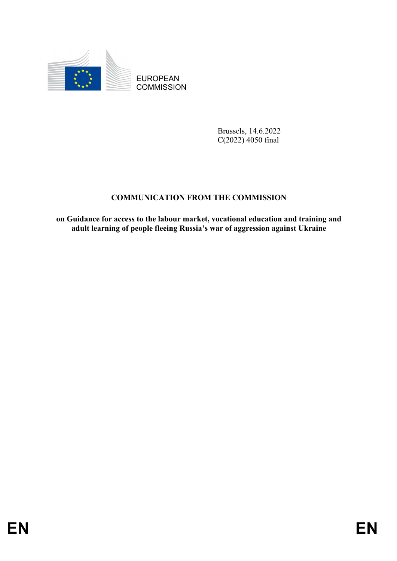

EUROPEAN **COMMISSION** 

> Brussels, 14.6.2022 C(2022) 4050 final

## **COMMUNICATION FROM THE COMMISSION**

**on Guidance for access to the labour market, vocational education and training and adult learning of people fleeing Russia's war of aggression against Ukraine**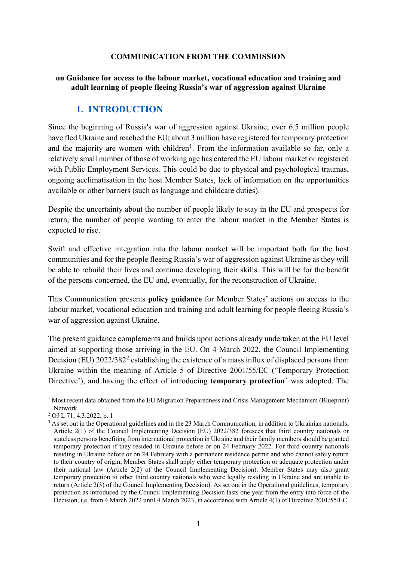#### **COMMUNICATION FROM THE COMMISSION**

#### **on Guidance for access to the labour market, vocational education and training and adult learning of people fleeing Russia's war of aggression against Ukraine**

### **1. INTRODUCTION**

Since the beginning of Russia's war of aggression against Ukraine, over 6.5 million people have fled Ukraine and reached the EU; about 3 million have registered for temporary protection and the majority are women with children<sup>[1](#page-1-0)</sup>. From the information available so far, only a relatively small number of those of working age has entered the EU labour market or registered with Public Employment Services. This could be due to physical and psychological traumas, ongoing acclimatisation in the host Member States, lack of information on the opportunities available or other barriers (such as language and childcare duties).

Despite the uncertainty about the number of people likely to stay in the EU and prospects for return, the number of people wanting to enter the labour market in the Member States is expected to rise.

Swift and effective integration into the labour market will be important both for the host communities and for the people fleeing Russia's war of aggression against Ukraine as they will be able to rebuild their lives and continue developing their skills. This will be for the benefit of the persons concerned, the EU and, eventually, for the reconstruction of Ukraine.

This Communication presents **policy guidance** for Member States' actions on access to the labour market, vocational education and training and adult learning for people fleeing Russia's war of aggression against Ukraine.

The present guidance complements and builds upon actions already undertaken at the EU level aimed at supporting those arriving in the EU. On 4 March 2022, the Council Implementing Decision (EU)  $2022/382<sup>2</sup>$  $2022/382<sup>2</sup>$  establishing the existence of a mass influx of displaced persons from Ukraine within the meaning of Article 5 of Directive 2001/55/EC ('Temporary Protection Directive'), and having the effect of introducing **temporary protection**[3](#page-1-2) was adopted. The

<span id="page-1-0"></span> $1$  Most recent data obtained from the EU Migration Preparedness and Crisis Management Mechanism (Blueprint) Network.

<span id="page-1-1"></span><sup>2</sup> OJ L 71, 4.3.2022, p. 1

<span id="page-1-2"></span><sup>&</sup>lt;sup>3</sup> As set out in the Operational guidelines and in the 23 March Communication, in addition to Ukrainian nationals, Article 2(1) of the Council Implementing Decision (EU) 2022/382 foresees that third country nationals or stateless persons benefiting from international protection in Ukraine and their family members should be granted temporary protection if they resided in Ukraine before or on 24 February 2022. For third country nationals residing in Ukraine before or on 24 February with a permanent residence permit and who cannot safely return to their country of origin, Member States shall apply either temporary protection or adequate protection under their national law (Article 2(2) of the Council Implementing Decision). Member States may also grant temporary protection to other third country nationals who were legally residing in Ukraine and are unable to return (Article 2(3) of the Council Implementing Decision). As set out in the Operational guidelines, temporary protection as introduced by the Council Implementing Decision lasts one year from the entry into force of the Decision, i.e. from 4 March 2022 until 4 March 2023, in accordance with Article 4(1) of Directive 2001/55/EC.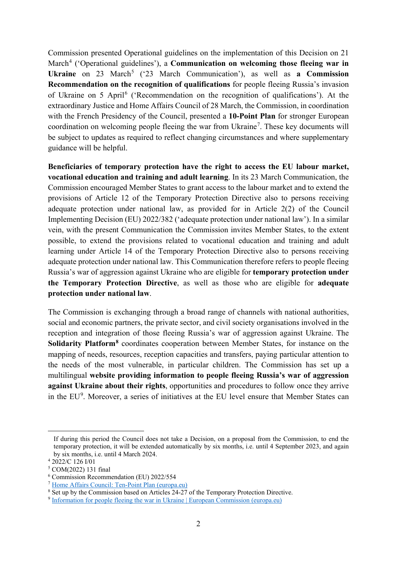Commission presented Operational guidelines on the implementation of this Decision on 21 March<sup>[4](#page-2-0)</sup> ('Operational guidelines'), a **Communication on welcoming those fleeing war in Ukraine** on 23 March<sup>[5](#page-2-1)</sup> ('23 March Communication'), as well as **a Commission Recommendation on the recognition of qualifications** for people fleeing Russia's invasion of Ukraine on 5 April[6](#page-2-2) ('Recommendation on the recognition of qualifications'). At the extraordinary Justice and Home Affairs Council of 28 March, the Commission, in coordination with the French Presidency of the Council, presented a **10-Point Plan** for stronger European coordination on welcoming people fleeing the war from Ukraine<sup>[7](#page-2-3)</sup>. These key documents will be subject to updates as required to reflect changing circumstances and where supplementary guidance will be helpful.

**Beneficiaries of temporary protection have the right to access the EU labour market, vocational education and training and adult learning**. In its 23 March Communication, the Commission encouraged Member States to grant access to the labour market and to extend the provisions of Article 12 of the Temporary Protection Directive also to persons receiving adequate protection under national law, as provided for in Article 2(2) of the Council Implementing Decision (EU) 2022/382 ('adequate protection under national law'). In a similar vein, with the present Communication the Commission invites Member States, to the extent possible, to extend the provisions related to vocational education and training and adult learning under Article 14 of the Temporary Protection Directive also to persons receiving adequate protection under national law. This Communication therefore refers to people fleeing Russia's war of aggression against Ukraine who are eligible for **temporary protection under the Temporary Protection Directive**, as well as those who are eligible for **adequate protection under national law**.

The Commission is exchanging through a broad range of channels with national authorities, social and economic partners, the private sector, and civil society organisations involved in the reception and integration of those fleeing Russia's war of aggression against Ukraine. The **Solidarity Platform[8](#page-2-4)** coordinates cooperation between Member States, for instance on the mapping of needs, resources, reception capacities and transfers, paying particular attention to the needs of the most vulnerable, in particular children. The Commission has set up a multilingual **website providing information to people fleeing Russia's war of aggression against Ukraine about their rights**, opportunities and procedures to follow once they arrive in the EU<sup>[9](#page-2-5)</sup>. Moreover, a series of initiatives at the EU level ensure that Member States can

If during this period the Council does not take a Decision, on a proposal from the Commission, to end the temporary protection, it will be extended automatically by six months, i.e. until 4 September 2023, and again by six months, i.e. until 4 March 2024.

<span id="page-2-0"></span><sup>4</sup> 2022/C 126 I/01

<span id="page-2-1"></span><sup>5</sup> COM(2022) 131 final

<span id="page-2-2"></span><sup>6</sup> Commission Recommendation (EU) 2022/554

<span id="page-2-3"></span><sup>7</sup> [Home Affairs Council: Ten-Point Plan \(europa.eu\)](https://ec.europa.eu/commission/presscorner/detail/en/IP_22_2152)

<span id="page-2-4"></span><sup>&</sup>lt;sup>8</sup> Set up by the Commission based on Articles 24-27 of the Temporary Protection Directive.

<span id="page-2-5"></span><sup>9</sup> [Information for people fleeing the war in Ukraine | European Commission \(europa.eu\)](https://ec.europa.eu/info/strategy/priorities-2019-2024/stronger-europe-world/eu-solidarity-ukraine/eu-assistance-ukraine/information-people-fleeing-war-ukraine_en)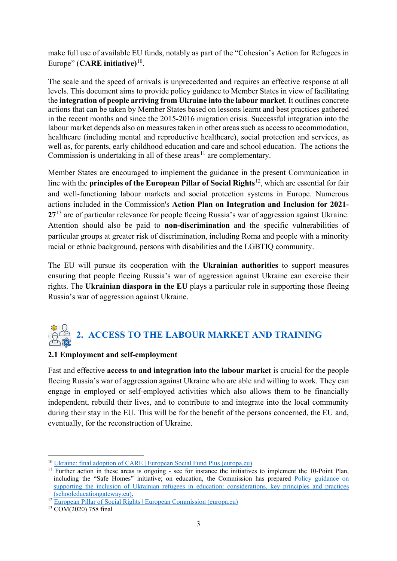make full use of available EU funds, notably as part of the "Cohesion's Action for Refugees in Europe" (**CARE initiative)** [10.](#page-3-0)

The scale and the speed of arrivals is unprecedented and requires an effective response at all levels. This document aims to provide policy guidance to Member States in view of facilitating the **integration of people arriving from Ukraine into the labour market**. It outlines concrete actions that can be taken by Member States based on lessons learnt and best practices gathered in the recent months and since the 2015-2016 migration crisis. Successful integration into the labour market depends also on measures taken in other areas such as access to accommodation, healthcare (including mental and reproductive healthcare), social protection and services, as well as, for parents, early childhood education and care and school education. The actions the Commission is undertaking in all of these areas<sup> $11$ </sup> are complementary.

Member States are encouraged to implement the guidance in the present Communication in line with the **principles of the European Pillar of Social Rights**[12](#page-3-2), which are essential for fair and well-functioning labour markets and social protection systems in Europe. Numerous actions included in the Commission's **Action Plan on Integration and Inclusion for 2021- 27**[13](#page-3-3) are of particular relevance for people fleeing Russia's war of aggression against Ukraine. Attention should also be paid to **non-discrimination** and the specific vulnerabilities of particular groups at greater risk of discrimination, including Roma and people with a minority racial or ethnic background, persons with disabilities and the LGBTIQ community.

The EU will pursue its cooperation with the **Ukrainian authorities** to support measures ensuring that people fleeing Russia's war of aggression against Ukraine can exercise their rights. The **Ukrainian diaspora in the EU** plays a particular role in supporting those fleeing Russia's war of aggression against Ukraine.

# **2. ACCESS TO THE LABOUR MARKET AND TRAINING**

#### **2.1 Employment and self-employment**

Fast and effective **access to and integration into the labour market** is crucial for the people fleeing Russia's war of aggression against Ukraine who are able and willing to work. They can engage in employed or self-employed activities which also allows them to be financially independent, rebuild their lives, and to contribute to and integrate into the local community during their stay in the EU. This will be for the benefit of the persons concerned, the EU and, eventually, for the reconstruction of Ukraine.

 <sup>10</sup> [Ukraine: final adoption of CARE | European Social Fund Plus \(europa.eu\)](https://ec.europa.eu/european-social-fund-plus/en/news/ukraine-final-adoption-care)

<span id="page-3-1"></span><span id="page-3-0"></span><sup>&</sup>lt;sup>11</sup> Further action in these areas is ongoing - see for instance the initiatives to implement the 10-Point Plan, including the "Safe Homes" initiative; on education, the Commission has prepared Policy guidance on [supporting the inclusion of Ukrainian refugees in education: considerations, key principles and practices](https://www.schooleducationgateway.eu/en/pub/resources/publications/policy-guidance-on-refugees.htm)  [\(schooleducationgateway.eu\).](https://www.schooleducationgateway.eu/en/pub/resources/publications/policy-guidance-on-refugees.htm)

<span id="page-3-2"></span><sup>12</sup> [European Pillar of Social Rights | European Commission \(europa.eu\)](https://ec.europa.eu/info/strategy/priorities-2019-2024/economy-works-people/jobs-growth-and-investment/european-pillar-social-rights_en)

<span id="page-3-3"></span><sup>13</sup> COM(2020) 758 final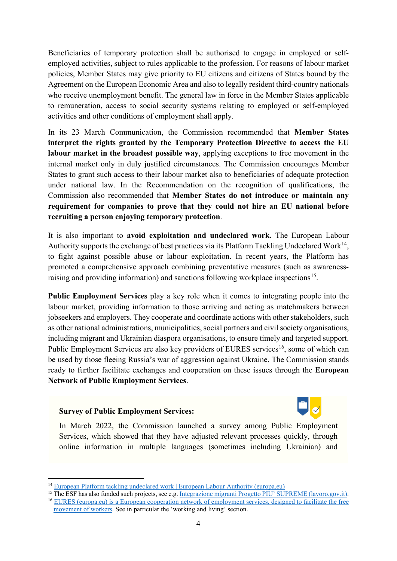Beneficiaries of temporary protection shall be authorised to engage in employed or selfemployed activities, subject to rules applicable to the profession. For reasons of labour market policies, Member States may give priority to EU citizens and citizens of States bound by the Agreement on the European Economic Area and also to legally resident third-country nationals who receive unemployment benefit. The general law in force in the Member States applicable to remuneration, access to social security systems relating to employed or self-employed activities and other conditions of employment shall apply.

In its 23 March Communication, the Commission recommended that **Member States interpret the rights granted by the Temporary Protection Directive to access the EU labour market in the broadest possible way**, applying exceptions to free movement in the internal market only in duly justified circumstances. The Commission encourages Member States to grant such access to their labour market also to beneficiaries of adequate protection under national law. In the Recommendation on the recognition of qualifications, the Commission also recommended that **Member States do not introduce or maintain any requirement for companies to prove that they could not hire an EU national before recruiting a person enjoying temporary protection**.

It is also important to **avoid exploitation and undeclared work.** The European Labour Authority supports the exchange of best practices via its Platform Tackling Undeclared Work<sup>[14](#page-4-0)</sup>, to fight against possible abuse or labour exploitation. In recent years, the Platform has promoted a comprehensive approach combining preventative measures (such as awareness-raising and providing information) and sanctions following workplace inspections<sup>[15](#page-4-1)</sup>.

**Public Employment Services** play a key role when it comes to integrating people into the labour market, providing information to those arriving and acting as matchmakers between jobseekers and employers. They cooperate and coordinate actions with other stakeholders, such as other national administrations, municipalities, social partners and civil society organisations, including migrant and Ukrainian diaspora organisations, to ensure timely and targeted support. Public Employment Services are also key providers of EURES services<sup>[16](#page-4-2)</sup>, some of which can be used by those fleeing Russia's war of aggression against Ukraine. The Commission stands ready to further facilitate exchanges and cooperation on these issues through the **European Network of Public Employment Services**.

#### **Survey of Public Employment Services:**



In March 2022, the Commission launched a survey among Public Employment Services, which showed that they have adjusted relevant processes quickly, through online information in multiple languages (sometimes including Ukrainian) and

<span id="page-4-0"></span> <sup>14</sup> [European Platform tackling undeclared work | European Labour Authority \(europa.eu\)](https://www.ela.europa.eu/en/undeclared-work)

<span id="page-4-2"></span><span id="page-4-1"></span><sup>&</sup>lt;sup>15</sup> The ESF has also funded such projects, see e.g[. Integrazione migranti Progetto PIU' SUPREME \(lavoro.gov.it\).](https://poninclusione.lavoro.gov.it/areeintervento/integrazionemigranti/Pagine/Progetto-PIU%E2%80%99-SUPREME.aspx) <sup>16</sup> [EURES \(europa.eu\)](https://ec.europa.eu/eures/public/index_en) is a European cooperation network of employment services, designed to facilitate the free movement of workers. See in particular the 'working and living' section.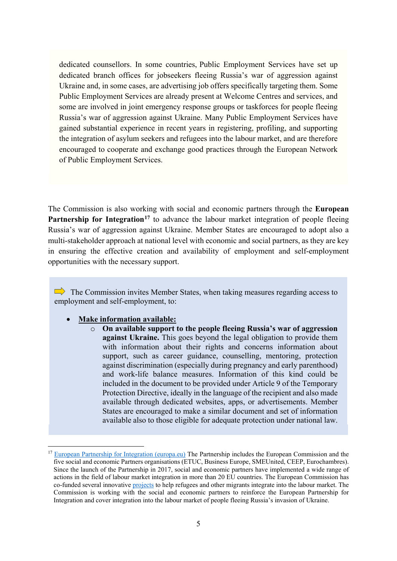dedicated counsellors. In some countries, Public Employment Services have set up dedicated branch offices for jobseekers fleeing Russia's war of aggression against Ukraine and, in some cases, are advertising job offers specifically targeting them. Some Public Employment Services are already present at Welcome Centres and services, and some are involved in joint emergency response groups or taskforces for people fleeing Russia's war of aggression against Ukraine. Many Public Employment Services have gained substantial experience in recent years in registering, profiling, and supporting the integration of asylum seekers and refugees into the labour market, and are therefore encouraged to cooperate and exchange good practices through the European Network of Public Employment Services.

The Commission is also working with social and economic partners through the **European Partnership for Integration<sup>[17](#page-5-0)</sup>** to advance the labour market integration of people fleeing Russia's war of aggression against Ukraine. Member States are encouraged to adopt also a multi-stakeholder approach at national level with economic and social partners, as they are key in ensuring the effective creation and availability of employment and self-employment opportunities with the necessary support.

 $\Rightarrow$  The Commission invites Member States, when taking measures regarding access to employment and self-employment, to:

#### • **Make information available:**

o **On available support to the people fleeing Russia's war of aggression against Ukraine.** This goes beyond the legal obligation to provide them with information about their rights and concerns information about support, such as career guidance, counselling, mentoring, protection against discrimination (especially during pregnancy and early parenthood) and work-life balance measures. Information of this kind could be included in the document to be provided under Article 9 of the Temporary Protection Directive, ideally in the language of the recipient and also made available through dedicated websites, apps, or advertisements. Member States are encouraged to make a similar document and set of information available also to those eligible for adequate protection under national law.

<span id="page-5-0"></span> <sup>17</sup> [European Partnership for Integration \(europa.eu\)](https://ec.europa.eu/home-affairs/policies/migration-and-asylum/legal-migration-and-integration/cooperation-economic-and-social-partners/european-partnership-integration_en#:%7E:text=The%20Partnership%20lays%20down%20key,commitments%20to%20put%20these%20principles) The Partnership includes the European Commission and the five social and economic Partners organisations (ETUC, Business Europe, SMEUnited, CEEP, Eurochambres). Since the launch of the Partnership in 2017, social and economic partners have implemented a wide range of actions in the field of labour market integration in more than 20 EU countries. The European Commission has co-funded several innovative [projects](https://ec.europa.eu/home-affairs/system/files/2020-12/22122020_drafting_actions_partnership_en.pdf) to help refugees and other migrants integrate into the labour market. The Commission is working with the social and economic partners to reinforce the European Partnership for Integration and cover integration into the labour market of people fleeing Russia's invasion of Ukraine.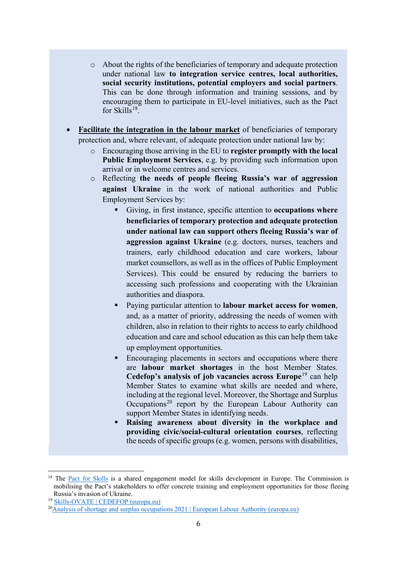- o About the rights of the beneficiaries of temporary and adequate protection under national law **to integration service centres, local authorities, social security institutions, potential employers and social partners**. This can be done through information and training sessions, and by encouraging them to participate in EU-level initiatives, such as the Pact for Skills<sup>18</sup>.
- **Facilitate the integration in the labour market** of beneficiaries of temporary protection and, where relevant, of adequate protection under national law by:
	- o Encouraging those arriving in the EU to **register promptly with the local Public Employment Services**, e.g. by providing such information upon arrival or in welcome centres and services.
	- o Reflecting **the needs of people fleeing Russia's war of aggression against Ukraine** in the work of national authorities and Public Employment Services by:
		- Giving, in first instance, specific attention to **occupations where beneficiaries of temporary protection and adequate protection under national law can support others fleeing Russia's war of aggression against Ukraine** (e.g. doctors, nurses, teachers and trainers, early childhood education and care workers, labour market counsellors, as well as in the offices of Public Employment Services). This could be ensured by reducing the barriers to accessing such professions and cooperating with the Ukrainian authorities and diaspora.
		- Paying particular attention to **labour market access for women**, and, as a matter of priority, addressing the needs of women with children, also in relation to their rights to access to early childhood education and care and school education as this can help them take up employment opportunities.
		- Encouraging placements in sectors and occupations where there are **labour market shortages** in the host Member States. **Cedefop's analysis of job vacancies across Europe**[19](#page-6-1) can help Member States to examine what skills are needed and where, including at the regional level. Moreover, the Shortage and Surplus Occupations<sup>[20](#page-6-2)</sup> report by the European Labour Authority can support Member States in identifying needs.
		- **Raising awareness about diversity in the workplace and providing civic/social-cultural orientation courses**, reflecting the needs of specific groups (e.g. women, persons with disabilities,

<span id="page-6-0"></span><sup>&</sup>lt;sup>18</sup> The [Pact for Skills](https://ec.europa.eu/social/main.jsp?catId=1517&langId=en) is a shared engagement model for skills development in Europe. The Commission is mobilising the Pact's stakeholders to offer concrete training and employment opportunities for those fleeing Russia's invasion of Ukraine.

<sup>19</sup> [Skills-OVATE | CEDEFOP \(europa.eu\)](https://www.cedefop.europa.eu/en/tools/skills-online-vacancies)

<span id="page-6-2"></span><span id="page-6-1"></span><sup>2</sup>[0Analysis of shortage and surplus occupations 2021 | European Labour Authority \(europa.eu\)](https://www.ela.europa.eu/en/news/analysis-shortage-and-surplus-occupations-2021#:%7E:text=The%20annual%20shortage%20and%20surplus,pandemic%20on%20the%20labour%20market)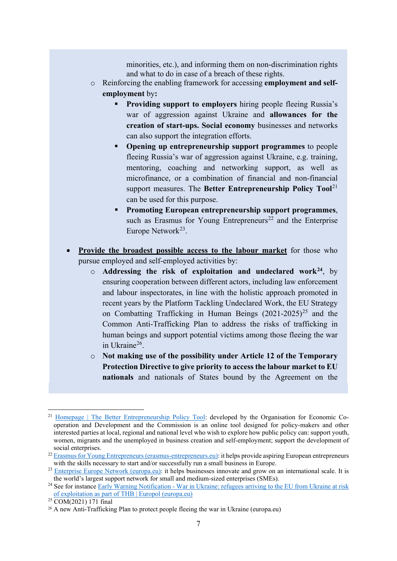minorities, etc.), and informing them on non-discrimination rights and what to do in case of a breach of these rights.

- o Reinforcing the enabling framework for accessing **employment and selfemployment** by**:** 
	- **Providing support to employers** hiring people fleeing Russia's war of aggression against Ukraine and **allowances for the creation of start-ups. Social economy** businesses and networks can also support the integration efforts.
	- **Opening up entrepreneurship support programmes** to people fleeing Russia's war of aggression against Ukraine, e.g. training, mentoring, coaching and networking support, as well as microfinance, or a combination of financial and non-financial support measures. The **Better Entrepreneurship Policy Tool**<sup>[21](#page-7-0)</sup> can be used for this purpose.
	- **Promoting European entrepreneurship support programmes**, such as Erasmus for Young Entrepreneurs<sup>[22](#page-7-1)</sup> and the Enterprise Europe Network<sup>23</sup>.
- **Provide the broadest possible access to the labour market** for those who pursue employed and self-employed activities by:
	- o **Addressing the risk of exploitation and undeclared work[24](#page-7-3)**, by ensuring cooperation between different actors, including law enforcement and labour inspectorates, in line with the holistic approach promoted in recent years by the Platform Tackling Undeclared Work, the EU Strategy on Combatting Trafficking in Human Beings  $(2021-2025)^{25}$  $(2021-2025)^{25}$  $(2021-2025)^{25}$  and the Common Anti-Trafficking Plan to address the risks of trafficking in human beings and support potential victims among those fleeing the war in Ukraine[26](#page-7-5).
	- o **Not making use of the possibility under Article 12 of the Temporary Protection Directive to give priority to access the labour market to EU nationals** and nationals of States bound by the Agreement on the

<span id="page-7-0"></span><sup>&</sup>lt;sup>21</sup> [Homepage | The Better Entrepreneurship Policy Tool:](https://betterentrepreneurship.eu/) developed by the Organisation for Economic Cooperation and Development and the Commission is an online tool designed for policy-makers and other interested parties at local, regional and national level who wish to explore how public policy can: support youth, women, migrants and the unemployed in business creation and self-employment; support the development of social enterprises.

<span id="page-7-1"></span> $22$  [Erasmus for Young Entrepreneurs \(erasmus-entrepreneurs.eu\):](https://www.erasmus-entrepreneurs.eu/) it helps provide aspiring European entrepreneurs with the skills necessary to start and/or successfully run a small business in Europe.

<span id="page-7-2"></span><sup>&</sup>lt;sup>23</sup> [Enterprise Europe Network \(europa.eu\):](https://een.ec.europa.eu/) it helps businesses innovate and grow on an international scale. It is the world's largest support network for small and medium-sized enterprises (SMEs).

<span id="page-7-3"></span><sup>&</sup>lt;sup>24</sup> See for instance Early Warning Notification - War in Ukraine: refugees arriving to the EU from Ukraine at risk [of exploitation as part of THB | Europol \(europa.eu\)](https://www.europol.europa.eu/publications-events/publications/early-warning-notification-war-in-ukraine-refugees-arriving-to-eu-ukraine-risk-of-exploitation-part-of-thb)

<span id="page-7-4"></span><sup>25</sup> [COM\(2021\) 171 final](https://eur-lex.europa.eu/legal-content/EN/TXT/?uri=CELEX:52021DC0171)

<span id="page-7-5"></span><sup>&</sup>lt;sup>26</sup> [A new Anti-Trafficking Plan to protect people fleeing the war in Ukraine \(europa.eu\)](https://ec.europa.eu/home-affairs/news/new-anti-trafficking-plan-protect-people-fleeing-war-ukraine-2022-05-11_en)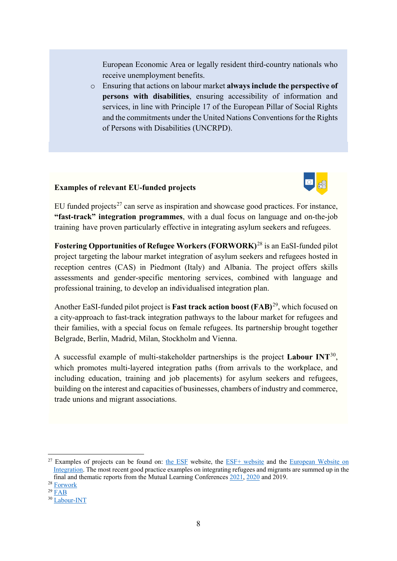European Economic Area or legally resident third-country nationals who receive unemployment benefits.

o Ensuring that actions on labour market **always include the perspective of persons with disabilities**, ensuring accessibility of information and services, in line with Principle 17 of the European Pillar of Social Rights and the commitments under the United Nations Conventions for the Rights of Persons with Disabilities (UNCRPD).

#### **Examples of relevant EU-funded projects**



EU funded projects<sup>[27](#page-8-0)</sup> can serve as inspiration and showcase good practices. For instance, **"fast-track" integration programmes**, with a dual focus on language and on-the-job training have proven particularly effective in integrating asylum seekers and refugees.

**Fostering Opportunities of Refugee Workers (FORWORK)**[28](#page-8-1) is an EaSI-funded pilot project targeting the labour market integration of asylum seekers and refugees hosted in reception centres (CAS) in Piedmont (Italy) and Albania. The project offers skills assessments and gender-specific mentoring services, combined with language and professional training, to develop an individualised integration plan.

Another EaSI-funded pilot project is **Fast track action boost (FAB)**[29](#page-8-2), which focused on a city-approach to fast-track integration pathways to the labour market for refugees and their families, with a special focus on female refugees. Its partnership brought together Belgrade, Berlin, Madrid, Milan, Stockholm and Vienna.

A successful example of multi-stakeholder partnerships is the project **Labour INT**[30,](#page-8-3) which promotes multi-layered integration paths (from arrivals to the workplace, and including education, training and job placements) for asylum seekers and refugees, building on the interest and capacities of businesses, chambers of industry and commerce, trade unions and migrant associations.

<span id="page-8-1"></span><sup>28</sup> [Forwork](https://www.forworkproject.eu/)

<span id="page-8-0"></span> $27$  Examples of projects can be found on: [the ESF](https://ec.europa.eu/esf/main.jsp?catId=46&langId=en&keywords=&theme=0&country=0&list=1) website, the [ESF+ website](https://ec.europa.eu/european-social-fund-plus/en/projects) and the European Website on [Integration.](https://ec.europa.eu/migrant-integration/home_en) The most recent good practice examples on integrating refugees and migrants are summed up in the final and thematic reports from the Mutual Learning Conference[s 2021,](https://ec.europa.eu/social/main.jsp?catId=88&furtherEvents=yes&eventsId=1929&langId=en) [2020](https://ec.europa.eu/social/main.jsp?langId=en&catId=88&eventsId=1762&furtherEvents=yes) and 2019.

<span id="page-8-2"></span> $29$  [FAB](https://fabproject.eu/)

<span id="page-8-3"></span><sup>30</sup> [Labour-INT](http://www.labour-int.eu/)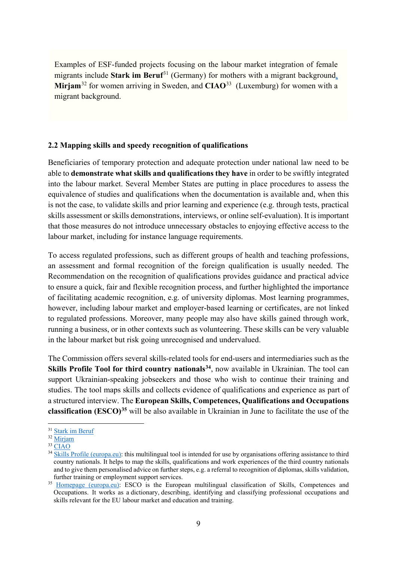Examples of ESF-funded projects focusing on the labour market integration of female migrants include **Stark im Beruf**<sup>[31](#page-9-0)</sup> (Germany) for mothers with a migrant background, **Mirjam**[32](#page-9-1) for women arriving in Sweden, and **CIAO**[33](#page-9-2) (Luxemburg) for women with a migrant background.

#### **2.2 Mapping skills and speedy recognition of qualifications**

Beneficiaries of temporary protection and adequate protection under national law need to be able to **demonstrate what skills and qualifications they have** in order to be swiftly integrated into the labour market. Several Member States are putting in place procedures to assess the equivalence of studies and qualifications when the documentation is available and, when this is not the case, to validate skills and prior learning and experience (e.g. through tests, practical skills assessment or skills demonstrations, interviews, or online self-evaluation). It is important that those measures do not introduce unnecessary obstacles to enjoying effective access to the labour market, including for instance language requirements.

To access regulated professions, such as different groups of health and teaching professions, an assessment and formal recognition of the foreign qualification is usually needed. The Recommendation on the recognition of qualifications provides guidance and practical advice to ensure a quick, fair and flexible recognition process, and further highlighted the importance of facilitating academic recognition, e.g. of university diplomas. Most learning programmes, however, including labour market and employer-based learning or certificates, are not linked to regulated professions. Moreover, many people may also have skills gained through work, running a business, or in other contexts such as volunteering. These skills can be very valuable in the labour market but risk going unrecognised and undervalued.

The Commission offers several skills-related tools for end-users and intermediaries such as the **Skills Profile Tool for third country nationals<sup>[34](#page-9-3)</sup>, now available in Ukrainian. The tool can** support Ukrainian-speaking jobseekers and those who wish to continue their training and studies. The tool maps skills and collects evidence of qualifications and experience as part of a structured interview. The **European Skills, Competences, Qualifications and Occupations classification (ESCO)[35](#page-9-4)** will be also available in Ukrainian in June to facilitate the use of the

<span id="page-9-0"></span> <sup>31</sup> [Stark im Beruf](https://starkimberuf.de/)

<span id="page-9-1"></span><sup>32</sup> [Mirjam](https://ec.europa.eu/european-social-fund-plus/en/projects/specialist-employment-help-inspiring-women)

<span id="page-9-2"></span><sup>33</sup> [CIAO](https://ec.europa.eu/european-social-fund-plus/en/projects/ciao-provides-welcome-women)

<span id="page-9-3"></span><sup>&</sup>lt;sup>34</sup> [Skills Profile \(europa.eu\):](https://ec.europa.eu/migrantskills/#/) this multilingual tool is intended for use by organisations offering assistance to third country nationals. It helps to map the skills, qualifications and work experiences of the third country nationals and to give them personalised advice on further steps, e.g. a referral to recognition of diplomas, skills validation, further training or employment support services.

<span id="page-9-4"></span><sup>&</sup>lt;sup>35</sup> [Homepage \(europa.eu\):](https://esco.ec.europa.eu/en/home) ESCO is the European multilingual classification of Skills, Competences and Occupations. It works as a dictionary, describing, identifying and classifying professional occupations and skills relevant for the EU labour market and education and training.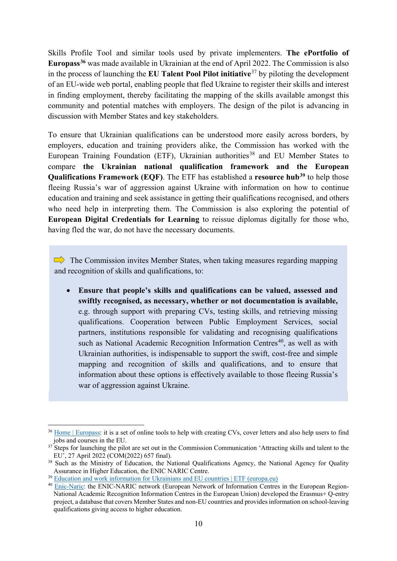Skills Profile Tool and similar tools used by private implementers. **The ePortfolio of Europass[36](#page-10-0)** was made available in Ukrainian at the end of April 2022. The Commission is also in the process of launching the **EU Talent Pool Pilot initiative**[37](#page-10-1) by piloting the development of an EU-wide web portal, enabling people that fled Ukraine to register their skills and interest in finding employment, thereby facilitating the mapping of the skills available amongst this community and potential matches with employers. The design of the pilot is advancing in discussion with Member States and key stakeholders.

To ensure that Ukrainian qualifications can be understood more easily across borders, by employers, education and training providers alike, the Commission has worked with the European Training Foundation (ETF), Ukrainian authorities<sup>[38](#page-10-2)</sup> and EU Member States to compare **the Ukrainian national qualification framework and the European Qualifications Framework (EQF)**. The ETF has established a **resource hub[39](#page-10-3)** to help those fleeing Russia's war of aggression against Ukraine with information on how to continue education and training and seek assistance in getting their qualifications recognised, and others who need help in interpreting them. The Commission is also exploring the potential of **European Digital Credentials for Learning** to reissue diplomas digitally for those who, having fled the war, do not have the necessary documents.

 $\implies$  The Commission invites Member States, when taking measures regarding mapping and recognition of skills and qualifications, to:

a<sup>n</sup>

• **Ensure that people's skills and qualifications can be valued, assessed and swiftly recognised, as necessary, whether or not documentation is available,**  e.g. through support with preparing CVs, testing skills, and retrieving missing qualifications. Cooperation between Public Employment Services, social partners, institutions responsible for validating and recognising qualifications such as National Academic Recognition Information Centres<sup>[40](#page-10-4)</sup>, as well as with Ukrainian authorities, is indispensable to support the swift, cost-free and simple mapping and recognition of skills and qualifications, and to ensure that information about these options is effectively available to those fleeing Russia's war of aggression against Ukraine.

<span id="page-10-0"></span><sup>&</sup>lt;sup>36</sup> [Home | Europass:](https://europa.eu/europass/en) it is a set of online tools to help with creating CVs, cover letters and also help users to find jobs and courses in the EU.

<span id="page-10-1"></span> $37$  Steps for launching the pilot are set out in the Commission Communication 'Attracting skills and talent to the EU', 27 April 2022 (COM(2022) 657 final).

<span id="page-10-2"></span><sup>&</sup>lt;sup>38</sup> Such as the Ministry of Education, the National Qualifications Agency, the National Agency for Quality Assurance in Higher Education, the ENIC NARIC Centre.

<span id="page-10-3"></span><sup>&</sup>lt;sup>39</sup> [Education and work information for Ukrainians and EU countries | ETF \(europa.eu\)](https://www.etf.europa.eu/en/education-and-work-information-ukrainians-and-eu-countries)

<span id="page-10-4"></span><sup>40</sup> [Enic-Naric:](https://www.enic-naric.net/) the ENIC-NARIC network (European Network of Information Centres in the European Region-National Academic Recognition Information Centres in the European Union) developed the Erasmus+ Q-entry project, a database that covers Member States and non-EU countries and provides information on school-leaving qualifications giving access to higher education.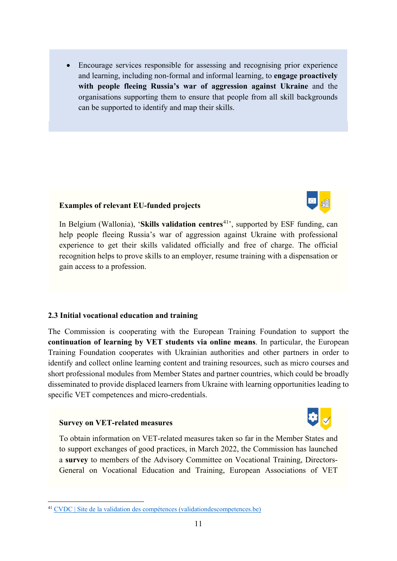• Encourage services responsible for assessing and recognising prior experience and learning, including non-formal and informal learning, to **engage proactively with people fleeing Russia's war of aggression against Ukraine** and the organisations supporting them to ensure that people from all skill backgrounds can be supported to identify and map their skills.

#### **Examples of relevant EU-funded projects**

In Belgium (Wallonia), '**[Skills validation centres](https://www.validationdescompetences.be/)**<sup>[41](#page-11-0)</sup>', supported by ESF funding, can help people fleeing Russia's war of aggression against Ukraine with professional experience to get their skills validated officially and free of charge. The official recognition helps to prove skills to an employer, resume training with a dispensation or gain access to a profession.

#### **2.3 Initial vocational education and training**

The Commission is cooperating with the European Training Foundation to support the **continuation of learning by VET students via online means**. In particular, the European Training Foundation cooperates with Ukrainian authorities and other partners in order to identify and collect online learning content and training resources, such as micro courses and short professional modules from Member States and partner countries, which could be broadly disseminated to provide displaced learners from Ukraine with learning opportunities leading to specific VET competences and micro-credentials.

#### **Survey on VET-related measures**



To obtain information on VET-related measures taken so far in the Member States and to support exchanges of good practices, in March 2022, the Commission has launched a **survey** to members of the Advisory Committee on Vocational Training, Directors-General on Vocational Education and Training, European Associations of VET

<span id="page-11-0"></span> <sup>41</sup> [CVDC | Site de la validation des compétences \(validationdescompetences.be\)](https://www.validationdescompetences.be/)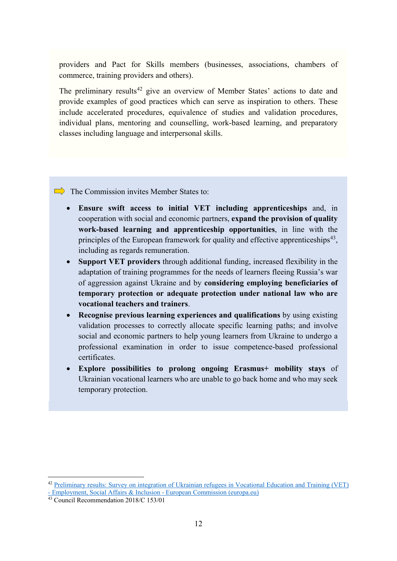providers and Pact for Skills members (businesses, associations, chambers of commerce, training providers and others).

The preliminary results<sup>[42](#page-12-0)</sup> give an overview of Member States' actions to date and provide examples of good practices which can serve as inspiration to others. These include accelerated procedures, equivalence of studies and validation procedures, individual plans, mentoring and counselling, work-based learning, and preparatory classes including language and interpersonal skills.

 $\Rightarrow$  The Commission invites Member States to:

- **Ensure swift access to initial VET including apprenticeships** and, in cooperation with social and economic partners, **expand the provision of quality work-based learning and apprenticeship opportunities**, in line with the principles of the European framework for quality and effective apprenticeships<sup>43</sup>, including as regards remuneration.
- **Support VET providers** through additional funding, increased flexibility in the adaptation of training programmes for the needs of learners fleeing Russia's war of aggression against Ukraine and by **considering employing beneficiaries of temporary protection or adequate protection under national law who are vocational teachers and trainers**.
- **Recognise previous learning experiences and qualifications** by using existing validation processes to correctly allocate specific learning paths; and involve social and economic partners to help young learners from Ukraine to undergo a professional examination in order to issue competence-based professional certificates.
- **Explore possibilities to prolong ongoing Erasmus+ mobility stays** of Ukrainian vocational learners who are unable to go back home and who may seek temporary protection.

<span id="page-12-0"></span> <sup>42</sup> [Preliminary results: Survey on integration of Ukrainian refugees in Vocational Education and Training \(VET\)](https://ec.europa.eu/social/main.jsp?langId=en&catId=89&newsId=10223&furtherNews=yes#navItem-1) 

<sup>-</sup> [Employment, Social Affairs & Inclusion -](https://ec.europa.eu/social/main.jsp?langId=en&catId=89&newsId=10223&furtherNews=yes#navItem-1) European Commission (europa.eu)

<span id="page-12-1"></span><sup>43</sup> Council Recommendation 2018/C 153/01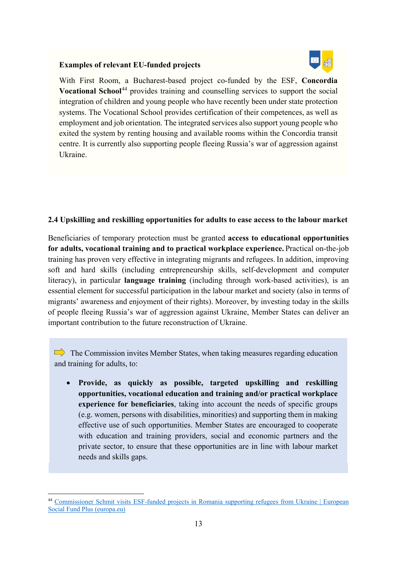#### **Examples of relevant EU-funded projects**



With First Room, a Bucharest-based project co-funded by the ESF, **Concordia Vocational School<sup>[44](#page-13-0)</sup>** provides training and counselling services to support the social integration of children and young people who have recently been under state protection systems. The Vocational School provides certification of their competences, as well as employment and job orientation. The integrated services also support young people who exited the system by renting housing and available rooms within the Concordia transit centre. It is currently also supporting people fleeing Russia's war of aggression against Ukraine.

#### **2.4 Upskilling and reskilling opportunities for adults to ease access to the labour market**

Beneficiaries of temporary protection must be granted **access to educational opportunities for adults, vocational training and to practical workplace experience.** Practical on-the-job training has proven very effective in integrating migrants and refugees.In addition, improving soft and hard skills (including entrepreneurship skills, self-development and computer literacy), in particular **language training** (including through work-based activities), is an essential element for successful participation in the labour market and society (also in terms of migrants' awareness and enjoyment of their rights). Moreover, by investing today in the skills of people fleeing Russia's war of aggression against Ukraine, Member States can deliver an important contribution to the future reconstruction of Ukraine.

 $\Rightarrow$  The Commission invites Member States, when taking measures regarding education and training for adults, to:

• **Provide, as quickly as possible, targeted upskilling and reskilling opportunities, vocational education and training and/or practical workplace experience for beneficiaries**, taking into account the needs of specific groups (e.g. women, persons with disabilities, minorities) and supporting them in making effective use of such opportunities. Member States are encouraged to cooperate with education and training providers, social and economic partners and the private sector, to ensure that these opportunities are in line with labour market needs and skills gaps.

<span id="page-13-0"></span> <sup>44</sup> [Commissioner Schmit visits ESF-funded projects in Romania supporting refugees](https://ec.europa.eu/european-social-fund-plus/en/news/cssr-schmit-romania-supporting-refugees-ukraine) from Ukraine | European [Social Fund Plus \(europa.eu\)](https://ec.europa.eu/european-social-fund-plus/en/news/cssr-schmit-romania-supporting-refugees-ukraine)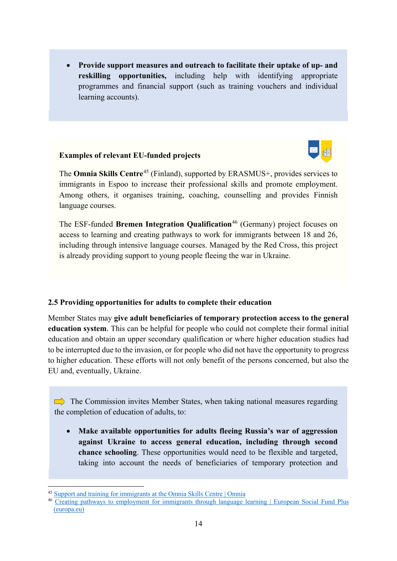• **Provide support measures and outreach to facilitate their uptake of up- and reskilling opportunities,** including help with identifying appropriate programmes and financial support (such as training vouchers and individual learning accounts).

#### **Examples of relevant EU-funded projects**



The **Omnia Skills Centre**[45](#page-14-0) (Finland), supported by ERASMUS+, provides services to immigrants in Espoo to increase their professional skills and promote employment. Among others, it organises training, coaching, counselling and provides Finnish language courses.

The ESF-funded **Bremen Integration Qualification**[46](#page-14-1) (Germany) project focuses on access to learning and creating pathways to work for immigrants between 18 and 26, including through intensive language courses. Managed by the Red Cross, this project is already providing support to young people fleeing the war in Ukraine.

#### **2.5 Providing opportunities for adults to complete their education**

Member States may **give adult beneficiaries of temporary protection access to the general education system**. This can be helpful for people who could not complete their formal initial education and obtain an upper secondary qualification or where higher education studies had to be interrupted due to the invasion, or for people who did not have the opportunity to progress to higher education. These efforts will not only benefit of the persons concerned, but also the EU and, eventually, Ukraine.

 $\Box$  The Commission invites Member States, when taking national measures regarding the completion of education of adults, to:

• **Make available opportunities for adults fleeing Russia's war of aggression against Ukraine to access general education, including through second chance schooling**. These opportunities would need to be flexible and targeted, taking into account the needs of beneficiaries of temporary protection and

<span id="page-14-0"></span> <sup>45</sup> [Support and training for immigrants at the Omnia Skills Centre | Omnia](https://www.omnia.fi/en/services/omnian-osaamiskeskus-maahanmuuttajille/support-and-training-immigrants-omnia-skills-centre)

<span id="page-14-1"></span><sup>46</sup> [Creating pathways to employment for immigrants through language learning | European Social Fund Plus](https://ec.europa.eu/european-social-fund-plus/en/projects/creating-pathways-employment-immigrants-through-language-learning)  [\(europa.eu\)](https://ec.europa.eu/european-social-fund-plus/en/projects/creating-pathways-employment-immigrants-through-language-learning)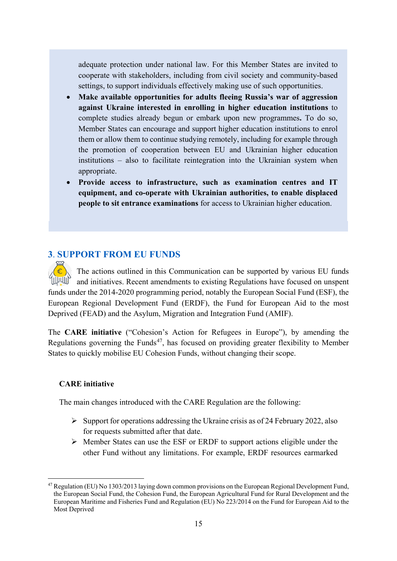adequate protection under national law. For this Member States are invited to cooperate with stakeholders, including from civil society and community-based settings, to support individuals effectively making use of such opportunities.

- **Make available opportunities for adults fleeing Russia's war of aggression against Ukraine interested in enrolling in higher education institutions** to complete studies already begun or embark upon new programmes**.** To do so, Member States can encourage and support higher education institutions to enrol them or allow them to continue studying remotely, including for example through the promotion of cooperation between EU and Ukrainian higher education institutions – also to facilitate reintegration into the Ukrainian system when appropriate.
- **Provide access to infrastructure, such as examination centres and IT equipment, and co-operate with Ukrainian authorities, to enable displaced people to sit entrance examinations** for access to Ukrainian higher education.

## **3**. **SUPPORT FROM EU FUNDS**

The actions outlined in this Communication can be supported by various EU funds **TILUULIP** and initiatives. Recent amendments to existing Regulations have focused on unspent funds under the 2014-2020 programming period, notably the European Social Fund (ESF), the European Regional Development Fund (ERDF), the Fund for European Aid to the most Deprived (FEAD) and the Asylum, Migration and Integration Fund (AMIF).

The **CARE initiative** ("Cohesion's Action for Refugees in Europe"), by amending the Regulations governing the Funds<sup>[47](#page-15-0)</sup>, has focused on providing greater flexibility to Member States to quickly mobilise EU Cohesion Funds, without changing their scope.

## **CARE initiative**

The main changes introduced with the CARE Regulation are the following:

- $\triangleright$  Support for operations addressing the Ukraine crisis as of 24 February 2022, also for requests submitted after that date.
- Member States can use the ESF or ERDF to support actions eligible under the other Fund without any limitations. For example, ERDF resources earmarked

<span id="page-15-0"></span> <sup>47</sup> Regulation (EU) No 1303/2013 laying down common provisions on the European Regional Development Fund, the European Social Fund, the Cohesion Fund, the European Agricultural Fund for Rural Development and the European Maritime and Fisheries Fund and Regulation (EU) No 223/2014 on the Fund for European Aid to the Most Deprived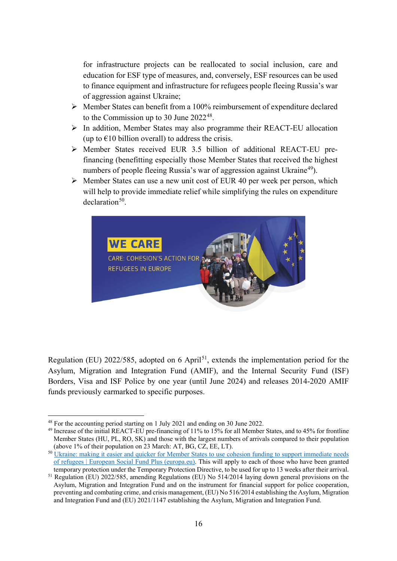for infrastructure projects can be reallocated to social inclusion, care and education for ESF type of measures, and, conversely, ESF resources can be used to finance equipment and infrastructure for refugees people fleeing Russia's war of aggression against Ukraine;

- $\triangleright$  Member States can benefit from a 100% reimbursement of expenditure declared to the Commission up to 30 June 2022<sup>[48](#page-16-0)</sup>.
- In addition, Member States may also programme their REACT-EU allocation (up to  $\epsilon$ 10 billion overall) to address the crisis.
- Member States received EUR 3.5 billion of additional REACT-EU prefinancing (benefitting especially those Member States that received the highest numbers of people fleeing Russia's war of aggression against Ukraine<sup>49</sup>).
- $\triangleright$  Member States can use a new unit cost of EUR 40 per week per person, which will help to provide immediate relief while simplifying the rules on expenditure  $declaration<sup>50</sup>$ .



Regulation (EU) 2022/585, adopted on 6 April<sup>51</sup>, extends the implementation period for the Asylum, Migration and Integration Fund (AMIF), and the Internal Security Fund (ISF) Borders, Visa and ISF Police by one year (until June 2024) and releases 2014-2020 AMIF funds previously earmarked to specific purposes.

<span id="page-16-0"></span> <sup>48</sup> For the accounting period starting on 1 July 2021 and ending on 30 June 2022.

<span id="page-16-1"></span><sup>49</sup> Increase of the initial REACT-EU pre-financing of 11% to 15% for all Member States, and to 45% for frontline Member States (HU, PL, RO, SK) and those with the largest numbers of arrivals compared to their population (above 1% of their population on 23 March: AT, BG, CZ, EE, LT).

<span id="page-16-2"></span><sup>&</sup>lt;sup>50</sup> Ukraine: making it easier and quicker for Member States to use cohesion funding to support immediate needs [of refugees | European Social Fund Plus \(europa.eu\).](https://ec.europa.eu/european-social-fund-plus/en/news/ukraine-cohesion-funding-immediate-support) This will apply to each of those who have been granted temporary protection under the Temporary Protection Directive, to be used for up to 13 weeks after their arrival.

<span id="page-16-3"></span><sup>51</sup> Regulation (EU) 2022/585, amending Regulations (EU) No 514/2014 laying down general provisions on the Asylum, Migration and Integration Fund and on the instrument for financial support for police cooperation, preventing and combating crime, and crisis management, (EU) No 516/2014 establishing the Asylum, Migration and Integration Fund and (EU) 2021/1147 establishing the Asylum, Migration and Integration Fund.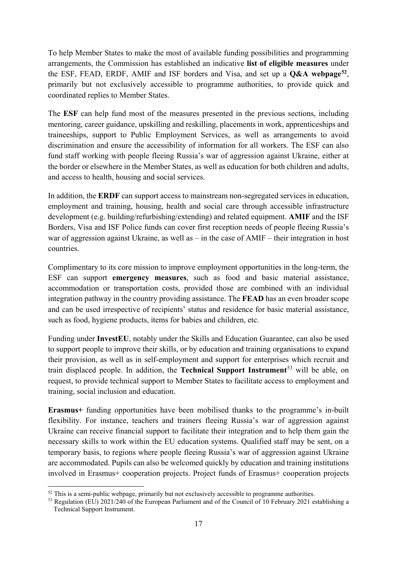To help Member States to make the most of available funding possibilities and programming arrangements, the Commission has established an indicative **list of eligible measures** under the ESF, FEAD, ERDF, AMIF and ISF borders and Visa, and set up a **Q&A webpage[52](#page-17-0)**, primarily but not exclusively accessible to programme authorities, to provide quick and coordinated replies to Member States.

The **ESF** can help fund most of the measures presented in the previous sections, including mentoring, career guidance, upskilling and reskilling, placements in work, apprenticeships and traineeships, support to Public Employment Services, as well as arrangements to avoid discrimination and ensure the accessibility of information for all workers. The ESF can also fund staff working with people fleeing Russia's war of aggression against Ukraine, either at the border or elsewhere in the Member States, as well as education for both children and adults, and access to health, housing and social services.

In addition, the **ERDF** can support access to mainstream non-segregated services in education, employment and training, housing, health and social care through accessible infrastructure development (e.g. building/refurbishing/extending) and related equipment. **AMIF** and the ISF Borders, Visa and ISF Police funds can cover first reception needs of people fleeing Russia's war of aggression against Ukraine, as well as – in the case of AMIF – their integration in host countries.

Complimentary to its core mission to improve employment opportunities in the long-term, the ESF can support **emergency measures**, such as food and basic material assistance, accommodation or transportation costs, provided those are combined with an individual integration pathway in the country providing assistance. The **FEAD** has an even broader scope and can be used irrespective of recipients' status and residence for basic material assistance, such as food, hygiene products, items for babies and children, etc.

Funding under **InvestEU**, notably under the Skills and Education Guarantee, can also be used to support people to improve their skills, or by education and training organisations to expand their provision, as well as in self-employment and support for enterprises which recruit and train displaced people. In addition, the **Technical Support Instrument**[53](#page-17-1) will be able, on request, to provide technical support to Member States to facilitate access to employment and training, social inclusion and education.

**Erasmus+** funding opportunities have been mobilised thanks to the programme's in-built flexibility. For instance, teachers and trainers fleeing Russia's war of aggression against Ukraine can receive financial support to facilitate their integration and to help them gain the necessary skills to work within the EU education systems. Qualified staff may be sent, on a temporary basis, to regions where people fleeing Russia's war of aggression against Ukraine are accommodated. Pupils can also be welcomed quickly by education and training institutions involved in Erasmus+ cooperation projects. Project funds of Erasmus+ cooperation projects

<span id="page-17-0"></span> $52$  This is a semi-public webpage, primarily but not exclusively accessible to programme authorities.

<span id="page-17-1"></span><sup>&</sup>lt;sup>53</sup> Regulation (EU) 2021/240 of the European Parliament and of the Council of 10 February 2021 establishing a Technical Support Instrument.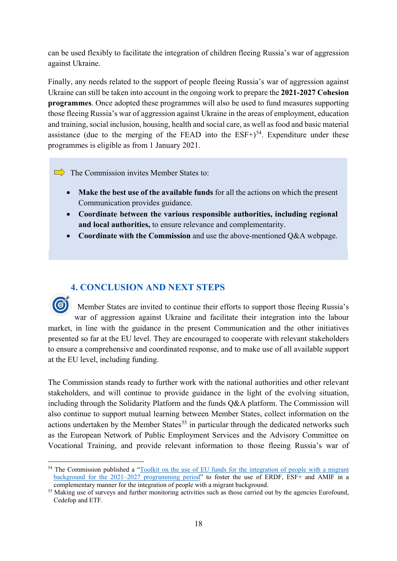can be used flexibly to facilitate the integration of children fleeing Russia's war of aggression against Ukraine.

Finally, any needs related to the support of people fleeing Russia's war of aggression against Ukraine can still be taken into account in the ongoing work to prepare the **2021-2027 Cohesion programmes**. Once adopted these programmes will also be used to fund measures supporting those fleeing Russia's war of aggression against Ukraine in the areas of employment, education and training, social inclusion, housing, health and social care, as well as food and basic material assistance (due to the merging of the FEAD into the  $ESF+$ )<sup>[54](#page-18-0)</sup>. Expenditure under these programmes is eligible as from 1 January 2021.

 $\Rightarrow$  The Commission invites Member States to:

• **Make the best use of the available funds** for all the actions on which the present Communication provides guidance.

- **Coordinate between the various responsible authorities, including regional and local authorities,** to ensure relevance and complementarity.
- **Coordinate with the Commission** and use the above-mentioned Q&A webpage.

# **4. CONCLUSION AND NEXT STEPS**

Member States are invited to continue their efforts to support those fleeing Russia's war of aggression against Ukraine and facilitate their integration into the labour market, in line with the guidance in the present Communication and the other initiatives presented so far at the EU level. They are encouraged to cooperate with relevant stakeholders to ensure a comprehensive and coordinated response, and to make use of all available support at the EU level, including funding.

The Commission stands ready to further work with the national authorities and other relevant stakeholders, and will continue to provide guidance in the light of the evolving situation, including through the Solidarity Platform and the funds Q&A platform. The Commission will also continue to support mutual learning between Member States, collect information on the actions undertaken by the Member States<sup>[55](#page-18-1)</sup> in particular through the dedicated networks such as the European Network of Public Employment Services and the Advisory Committee on Vocational Training, and provide relevant information to those fleeing Russia's war of

<span id="page-18-0"></span><sup>&</sup>lt;sup>54</sup> The Commission published a "Toolkit on the use of EU funds for the integration of people with a migrant [background for the 2021–2027 programming period"](https://op.europa.eu/en/publication-detail/-/publication/55dffdce-5d5c-11ec-9c6c-01aa75ed71a1/language-en/format-PDF/source-245933748) to foster the use of ERDF, ESF+ and AMIF in a complementary manner for the integration of people with a migrant background.

<span id="page-18-1"></span><sup>&</sup>lt;sup>55</sup> Making use of surveys and further monitoring activities such as those carried out by the agencies Eurofound, Cedefop and ETF.